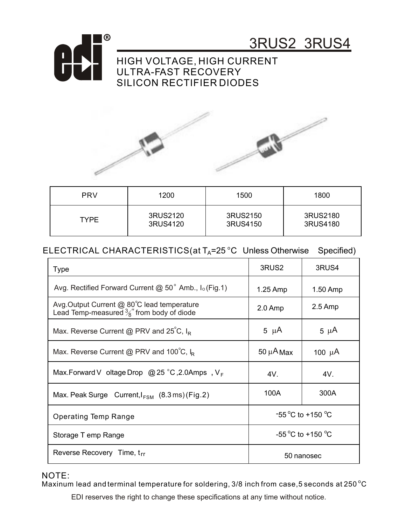

3RUS2 3RUS4

## HIGH VOLTAGE, HIGH CURRENT ULTRA-FAST RECOVERY SILICON RECTIFIER DIODES



| <b>PRV</b>  | 1200     | 1500     | 1800     |
|-------------|----------|----------|----------|
| <b>TYPE</b> | 3RUS2120 | 3RUS2150 | 3RUS2180 |
|             | 3RUS4120 | 3RUS4150 | 3RUS4180 |

## ELECTRICAL CHARACTERISTICS(at  $T_A$ =25 °C Unless Otherwise Specified)

| Type                                                                                                | 3RUS <sub>2</sub>                    | 3RUS4       |
|-----------------------------------------------------------------------------------------------------|--------------------------------------|-------------|
| Avg. Rectified Forward Current @ 50° Amb., I <sub>o</sub> (Fig.1)                                   | $1.25$ Amp                           | 1.50 Amp    |
| Avg.Output Current @ 80°C lead temperature<br>Lead Temp-measured $\frac{3}{8}$ " from body of diode | $2.0$ Amp                            | $2.5$ Amp   |
| Max. Reverse Current @ PRV and $25^{\circ}$ C, I <sub>R</sub>                                       | 5 $\mu$ A                            | $5 \mu A$   |
| Max. Reverse Current @ PRV and 100°C, $I_R$                                                         | 50 $\mu$ A Max                       | 100 $\mu$ A |
| Max.Forward V oltage Drop @ 25 °C, 2.0Amps, $V_F$                                                   | 4V.                                  | 4V.         |
| Max. Peak Surge Current, $I_{FSM}$ (8.3 ms) (Fig. 2)                                                | 100A                                 | 300A        |
| <b>Operating Temp Range</b>                                                                         | $-55^{\circ}$ C to +150 $^{\circ}$ C |             |
| Storage T emp Range                                                                                 | -55 °C to +150 °C                    |             |
| Reverse Recovery Time, trr                                                                          | 50 nanosec                           |             |

## NOTE:

Maxinum lead and terminal temperature for soldering, 3/8 inch from case,5 seconds at 250  $^{\circ} \mathrm C$ 

EDI reserves the right to change these specifications at any time without notice.